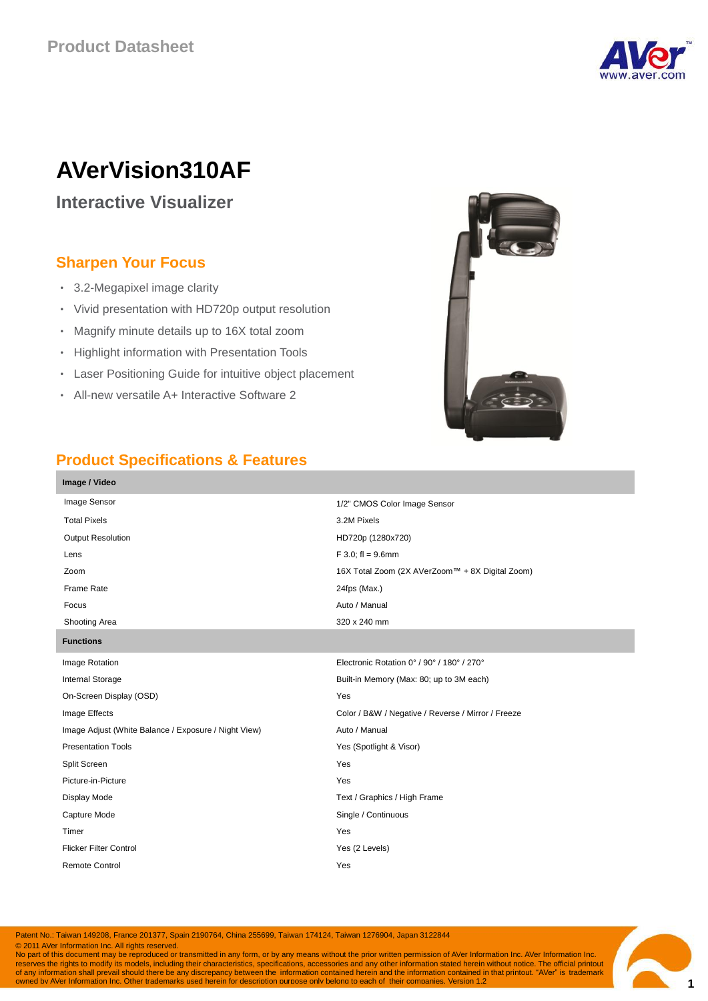

# **AVerVision310AF**

**Interactive Visualizer**

# **Sharpen Your Focus**

- 3.2-Megapixel image clarity
- Vivid presentation with HD720p output resolution
- Magnify minute details up to 16X total zoom
- Highlight information with Presentation Tools
- Laser Positioning Guide for intuitive object placement
- All-new versatile A+ Interactive Software 2



## **Product Specifications & Features**

| Image / Video                                        |                                                    |  |
|------------------------------------------------------|----------------------------------------------------|--|
| Image Sensor                                         | 1/2" CMOS Color Image Sensor                       |  |
| <b>Total Pixels</b>                                  | 3.2M Pixels                                        |  |
| <b>Output Resolution</b>                             | HD720p (1280x720)                                  |  |
| Lens                                                 | $F$ 3.0; fl = 9.6mm                                |  |
| Zoom                                                 | 16X Total Zoom (2X AVerZoom™ + 8X Digital Zoom)    |  |
| Frame Rate                                           | 24fps (Max.)                                       |  |
| Focus                                                | Auto / Manual                                      |  |
| Shooting Area                                        | 320 x 240 mm                                       |  |
| <b>Functions</b>                                     |                                                    |  |
| Image Rotation                                       | Electronic Rotation 0° / 90° / 180° / 270°         |  |
| Internal Storage                                     | Built-in Memory (Max: 80; up to 3M each)           |  |
| On-Screen Display (OSD)                              | Yes                                                |  |
| Image Effects                                        | Color / B&W / Negative / Reverse / Mirror / Freeze |  |
| Image Adjust (White Balance / Exposure / Night View) | Auto / Manual                                      |  |
| <b>Presentation Tools</b>                            | Yes (Spotlight & Visor)                            |  |
| Split Screen                                         | Yes                                                |  |
| Picture-in-Picture                                   | Yes                                                |  |
| Display Mode                                         | Text / Graphics / High Frame                       |  |
| Capture Mode                                         | Single / Continuous                                |  |
| Timer                                                | Yes                                                |  |
| <b>Flicker Filter Control</b>                        | Yes (2 Levels)                                     |  |
| <b>Remote Control</b>                                | Yes                                                |  |
|                                                      |                                                    |  |

Patent No.: Taiwan 149208, France 201377, Spain 2190764, China 255699, Taiwan 174124, Taiwan 1276904, Japan 3122844

© 2011 AVer Information Inc. All rights reserved.

 $\bullet$  2011 is document may be reproduced or transmitted in any form, or by any means without the prior written permission of AVer Information Inc. AVer Information Inc. reserves the rights to modify its models, including their characteristics, specifications, accessories and any other information stated herein without notice. The official printout<br>of any information shall prevail should t

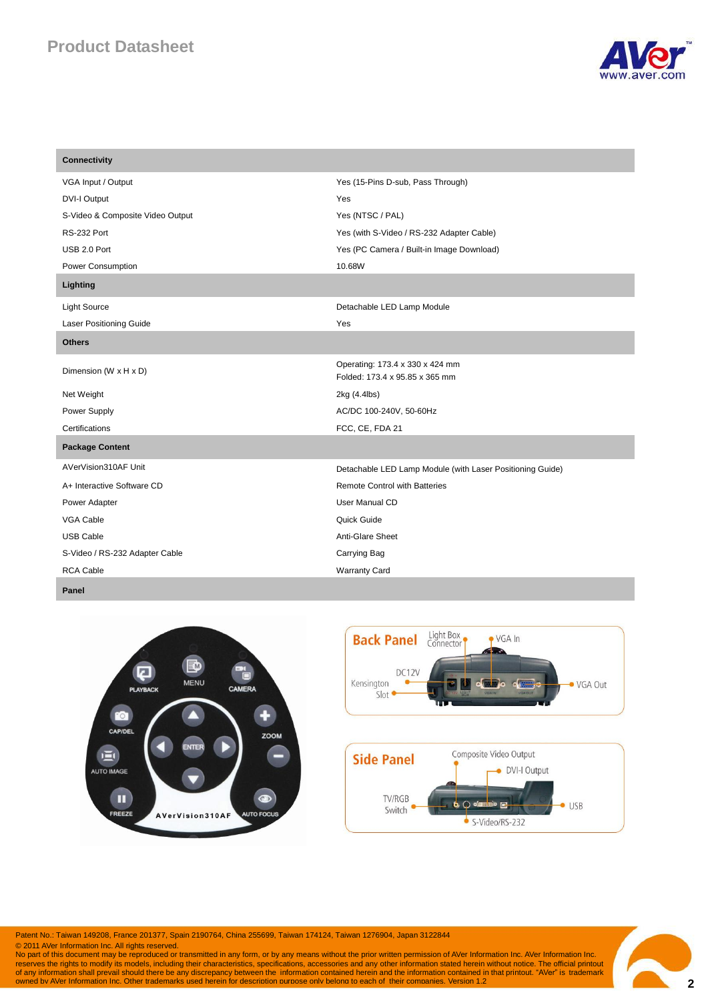# **Product Datasheet**



| <b>Connectivity</b>              |                                                                   |  |
|----------------------------------|-------------------------------------------------------------------|--|
| VGA Input / Output               | Yes (15-Pins D-sub, Pass Through)                                 |  |
| DVI-I Output                     | Yes                                                               |  |
| S-Video & Composite Video Output | Yes (NTSC / PAL)                                                  |  |
| <b>RS-232 Port</b>               | Yes (with S-Video / RS-232 Adapter Cable)                         |  |
| USB 2.0 Port                     | Yes (PC Camera / Built-in Image Download)                         |  |
| Power Consumption                | 10.68W                                                            |  |
| Lighting                         |                                                                   |  |
| <b>Light Source</b>              | Detachable LED Lamp Module                                        |  |
| <b>Laser Positioning Guide</b>   | Yes                                                               |  |
| <b>Others</b>                    |                                                                   |  |
| Dimension (W x H x D)            | Operating: 173.4 x 330 x 424 mm<br>Folded: 173.4 x 95.85 x 365 mm |  |
| Net Weight                       | 2kg (4.4lbs)                                                      |  |
| Power Supply                     | AC/DC 100-240V, 50-60Hz                                           |  |
| Certifications                   | FCC, CE, FDA 21                                                   |  |
| <b>Package Content</b>           |                                                                   |  |
| AVerVision310AF Unit             | Detachable LED Lamp Module (with Laser Positioning Guide)         |  |
| A+ Interactive Software CD       | <b>Remote Control with Batteries</b>                              |  |
| Power Adapter                    | User Manual CD                                                    |  |
| VGA Cable                        | Quick Guide                                                       |  |
| <b>USB Cable</b>                 | Anti-Glare Sheet                                                  |  |
| S-Video / RS-232 Adapter Cable   | Carrying Bag                                                      |  |
| <b>RCA Cable</b>                 | <b>Warranty Card</b>                                              |  |



**Panel**



Patent No.: Taiwan 149208, France 201377, Spain 2190764, China 255699, Taiwan 174124, Taiwan 1276904, Japan 3122844

© 2011 AVer Information Inc. All rights reserved.<br>No part of this document may be reproduced or transmitted in any form, or by any means without the prior written permission of AVer Information Inc. AVer Information Inc.<br>r